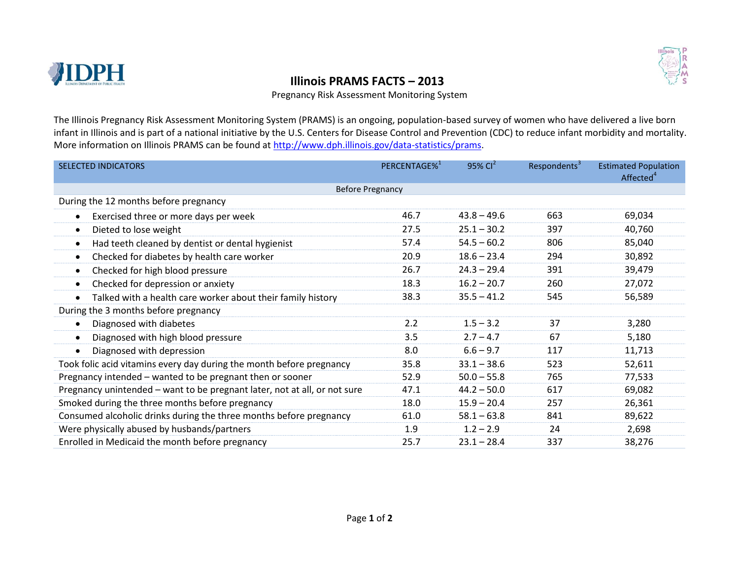

## **EXAMPLE IN A REPORT OF PRAMS FACTS — 2013**

Pregnancy Risk Assessment Monitoring System

The Illinois Pregnancy Risk Assessment Monitoring System (PRAMS) is an ongoing, population-based survey of women who have delivered a live born infant in Illinois and is part of a national initiative by the U.S. Centers for Disease Control and Prevention (CDC) to reduce infant morbidity and mortality. More information on Illinois PRAMS can be found at [http://www.dph.illinois.gov/data-statistics/prams.](http://www.dph.illinois.gov/data-statistics/prams)

| <b>SELECTED INDICATORS</b>                                                | PERCENTAGE% <sup>1</sup> | $95\%$ Cl <sup>2</sup> | Respondents <sup>3</sup> | <b>Estimated Population</b><br>Affected <sup>4</sup> |  |  |  |  |
|---------------------------------------------------------------------------|--------------------------|------------------------|--------------------------|------------------------------------------------------|--|--|--|--|
| <b>Before Pregnancy</b>                                                   |                          |                        |                          |                                                      |  |  |  |  |
| During the 12 months before pregnancy                                     |                          |                        |                          |                                                      |  |  |  |  |
| Exercised three or more days per week                                     | 46.7                     | $43.8 - 49.6$          | 663                      | 69,034                                               |  |  |  |  |
| Dieted to lose weight                                                     | 27.5                     | $25.1 - 30.2$          | 397                      | 40,760                                               |  |  |  |  |
| Had teeth cleaned by dentist or dental hygienist                          | 57.4                     | $54.5 - 60.2$          | 806                      | 85,040                                               |  |  |  |  |
| Checked for diabetes by health care worker<br>$\bullet$                   | 20.9                     | $18.6 - 23.4$          | 294                      | 30,892                                               |  |  |  |  |
| Checked for high blood pressure<br>$\bullet$                              | 26.7                     | $24.3 - 29.4$          | 391                      | 39,479                                               |  |  |  |  |
| Checked for depression or anxiety                                         | 18.3                     | $16.2 - 20.7$          | 260                      | 27,072                                               |  |  |  |  |
| Talked with a health care worker about their family history               | 38.3                     | $35.5 - 41.2$          | 545                      | 56,589                                               |  |  |  |  |
| During the 3 months before pregnancy                                      |                          |                        |                          |                                                      |  |  |  |  |
| Diagnosed with diabetes                                                   | 2.2                      | $1.5 - 3.2$            | 37                       | 3,280                                                |  |  |  |  |
| Diagnosed with high blood pressure                                        | 3.5                      | $2.7 - 4.7$            | 67                       | 5,180                                                |  |  |  |  |
| Diagnosed with depression<br>$\bullet$                                    | 8.0                      | $6.6 - 9.7$            | 117                      | 11,713                                               |  |  |  |  |
| Took folic acid vitamins every day during the month before pregnancy      | 35.8                     | $33.1 - 38.6$          | 523                      | 52,611                                               |  |  |  |  |
| Pregnancy intended - wanted to be pregnant then or sooner                 | 52.9                     | $50.0 - 55.8$          | 765                      | 77,533                                               |  |  |  |  |
| Pregnancy unintended - want to be pregnant later, not at all, or not sure | 47.1                     | $44.2 - 50.0$          | 617                      | 69,082                                               |  |  |  |  |
| Smoked during the three months before pregnancy                           | 18.0                     | $15.9 - 20.4$          | 257                      | 26,361                                               |  |  |  |  |
| Consumed alcoholic drinks during the three months before pregnancy        | 61.0                     | $58.1 - 63.8$          | 841                      | 89,622                                               |  |  |  |  |
| Were physically abused by husbands/partners                               | 1.9                      | $1.2 - 2.9$            | 24                       | 2,698                                                |  |  |  |  |
| Enrolled in Medicaid the month before pregnancy                           | 25.7                     | $23.1 - 28.4$          | 337                      | 38,276                                               |  |  |  |  |